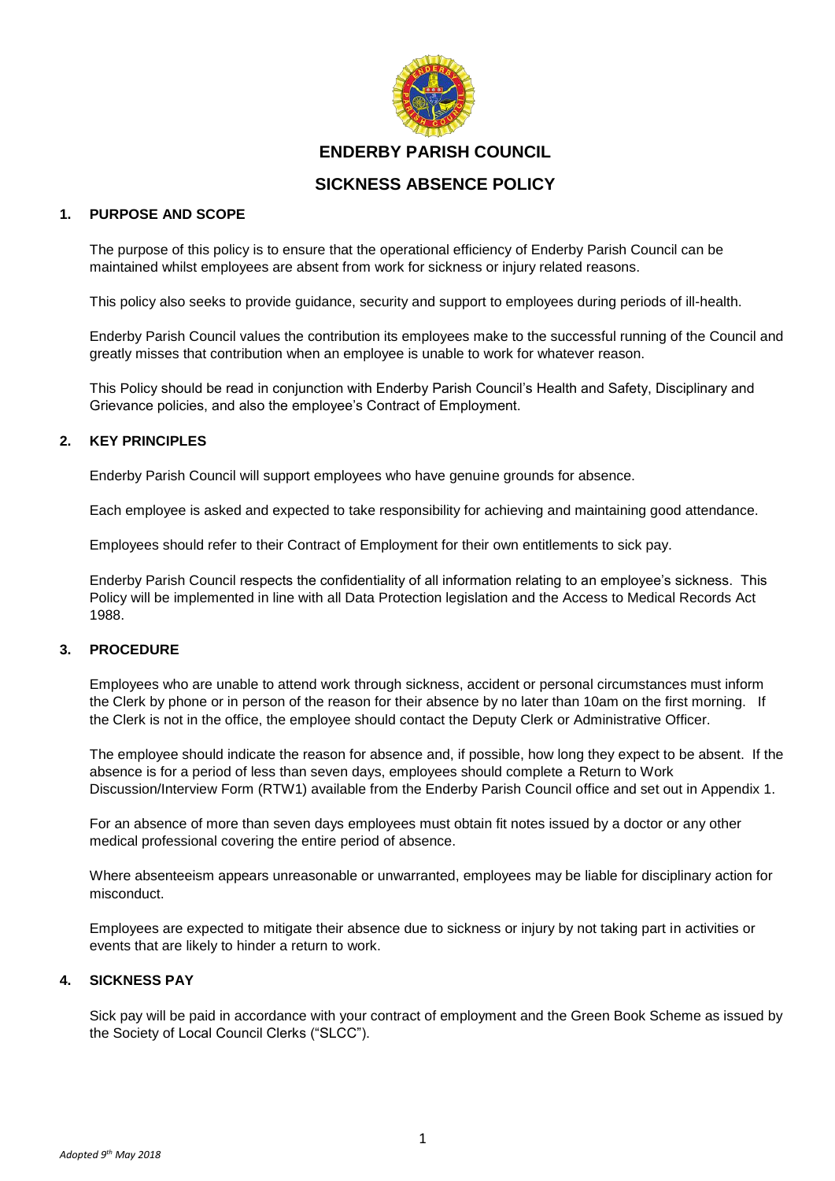

# **ENDERBY PARISH COUNCIL**

# **SICKNESS ABSENCE POLICY**

### **1. PURPOSE AND SCOPE**

The purpose of this policy is to ensure that the operational efficiency of Enderby Parish Council can be maintained whilst employees are absent from work for sickness or injury related reasons.

This policy also seeks to provide guidance, security and support to employees during periods of ill-health.

Enderby Parish Council values the contribution its employees make to the successful running of the Council and greatly misses that contribution when an employee is unable to work for whatever reason.

This Policy should be read in conjunction with Enderby Parish Council's Health and Safety, Disciplinary and Grievance policies, and also the employee's Contract of Employment.

### **2. KEY PRINCIPLES**

Enderby Parish Council will support employees who have genuine grounds for absence.

Each employee is asked and expected to take responsibility for achieving and maintaining good attendance.

Employees should refer to their Contract of Employment for their own entitlements to sick pay.

Enderby Parish Council respects the confidentiality of all information relating to an employee's sickness. This Policy will be implemented in line with all Data Protection legislation and the Access to Medical Records Act 1988.

### **3. PROCEDURE**

Employees who are unable to attend work through sickness, accident or personal circumstances must inform the Clerk by phone or in person of the reason for their absence by no later than 10am on the first morning. If the Clerk is not in the office, the employee should contact the Deputy Clerk or Administrative Officer.

The employee should indicate the reason for absence and, if possible, how long they expect to be absent. If the absence is for a period of less than seven days, employees should complete a Return to Work Discussion/Interview Form (RTW1) available from the Enderby Parish Council office and set out in Appendix 1.

For an absence of more than seven days employees must obtain fit notes issued by a doctor or any other medical professional covering the entire period of absence.

Where absenteeism appears unreasonable or unwarranted, employees may be liable for disciplinary action for misconduct.

Employees are expected to mitigate their absence due to sickness or injury by not taking part in activities or events that are likely to hinder a return to work.

### **4. SICKNESS PAY**

Sick pay will be paid in accordance with your contract of employment and the Green Book Scheme as issued by the Society of Local Council Clerks ("SLCC").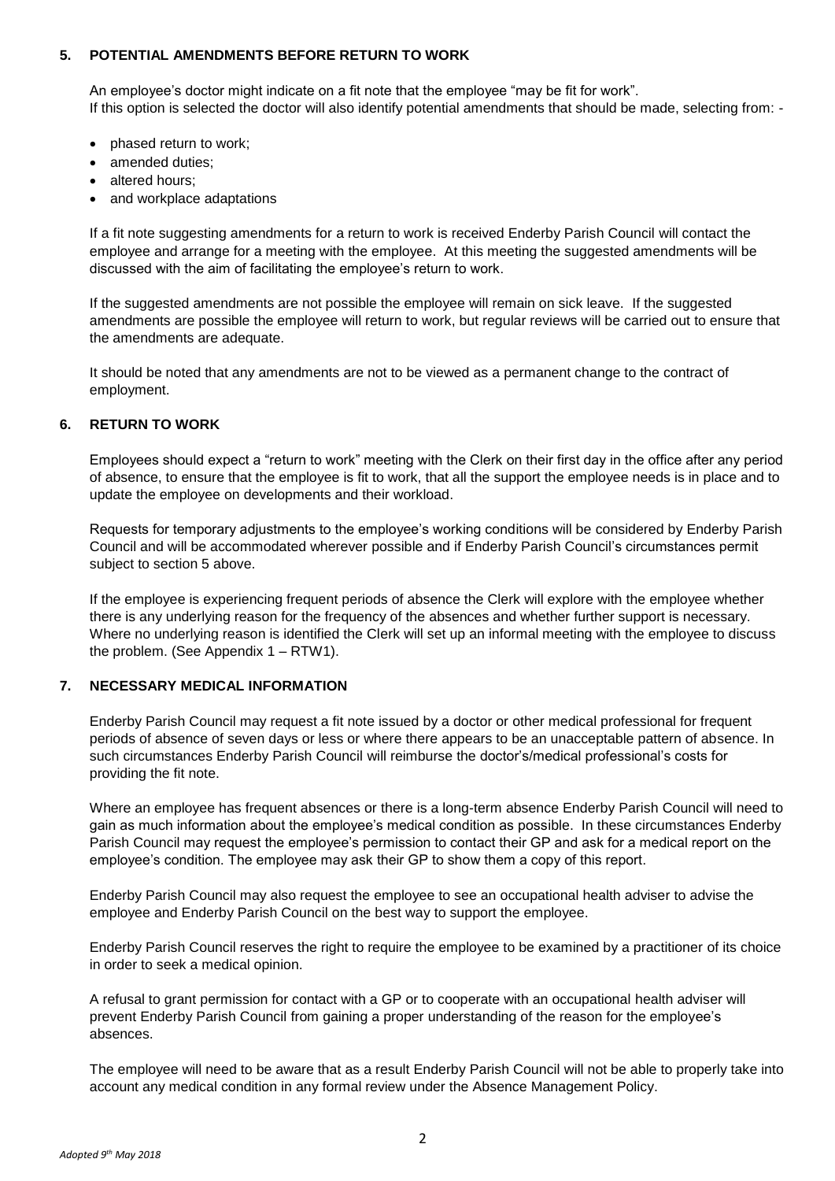### **5. POTENTIAL AMENDMENTS BEFORE RETURN TO WORK**

An employee's doctor might indicate on a fit note that the employee "may be fit for work". If this option is selected the doctor will also identify potential amendments that should be made, selecting from: -

- phased return to work;
- amended duties:
- altered hours;
- and workplace adaptations

If a fit note suggesting amendments for a return to work is received Enderby Parish Council will contact the employee and arrange for a meeting with the employee. At this meeting the suggested amendments will be discussed with the aim of facilitating the employee's return to work.

If the suggested amendments are not possible the employee will remain on sick leave. If the suggested amendments are possible the employee will return to work, but regular reviews will be carried out to ensure that the amendments are adequate.

It should be noted that any amendments are not to be viewed as a permanent change to the contract of employment.

#### **6. RETURN TO WORK**

Employees should expect a "return to work" meeting with the Clerk on their first day in the office after any period of absence, to ensure that the employee is fit to work, that all the support the employee needs is in place and to update the employee on developments and their workload.

Requests for temporary adjustments to the employee's working conditions will be considered by Enderby Parish Council and will be accommodated wherever possible and if Enderby Parish Council's circumstances permit subject to section 5 above.

If the employee is experiencing frequent periods of absence the Clerk will explore with the employee whether there is any underlying reason for the frequency of the absences and whether further support is necessary. Where no underlying reason is identified the Clerk will set up an informal meeting with the employee to discuss the problem. (See Appendix 1 – RTW1).

### **7. NECESSARY MEDICAL INFORMATION**

Enderby Parish Council may request a fit note issued by a doctor or other medical professional for frequent periods of absence of seven days or less or where there appears to be an unacceptable pattern of absence. In such circumstances Enderby Parish Council will reimburse the doctor's/medical professional's costs for providing the fit note.

Where an employee has frequent absences or there is a long-term absence Enderby Parish Council will need to gain as much information about the employee's medical condition as possible. In these circumstances Enderby Parish Council may request the employee's permission to contact their GP and ask for a medical report on the employee's condition. The employee may ask their GP to show them a copy of this report.

Enderby Parish Council may also request the employee to see an occupational health adviser to advise the employee and Enderby Parish Council on the best way to support the employee.

Enderby Parish Council reserves the right to require the employee to be examined by a practitioner of its choice in order to seek a medical opinion.

A refusal to grant permission for contact with a GP or to cooperate with an occupational health adviser will prevent Enderby Parish Council from gaining a proper understanding of the reason for the employee's absences.

The employee will need to be aware that as a result Enderby Parish Council will not be able to properly take into account any medical condition in any formal review under the Absence Management Policy.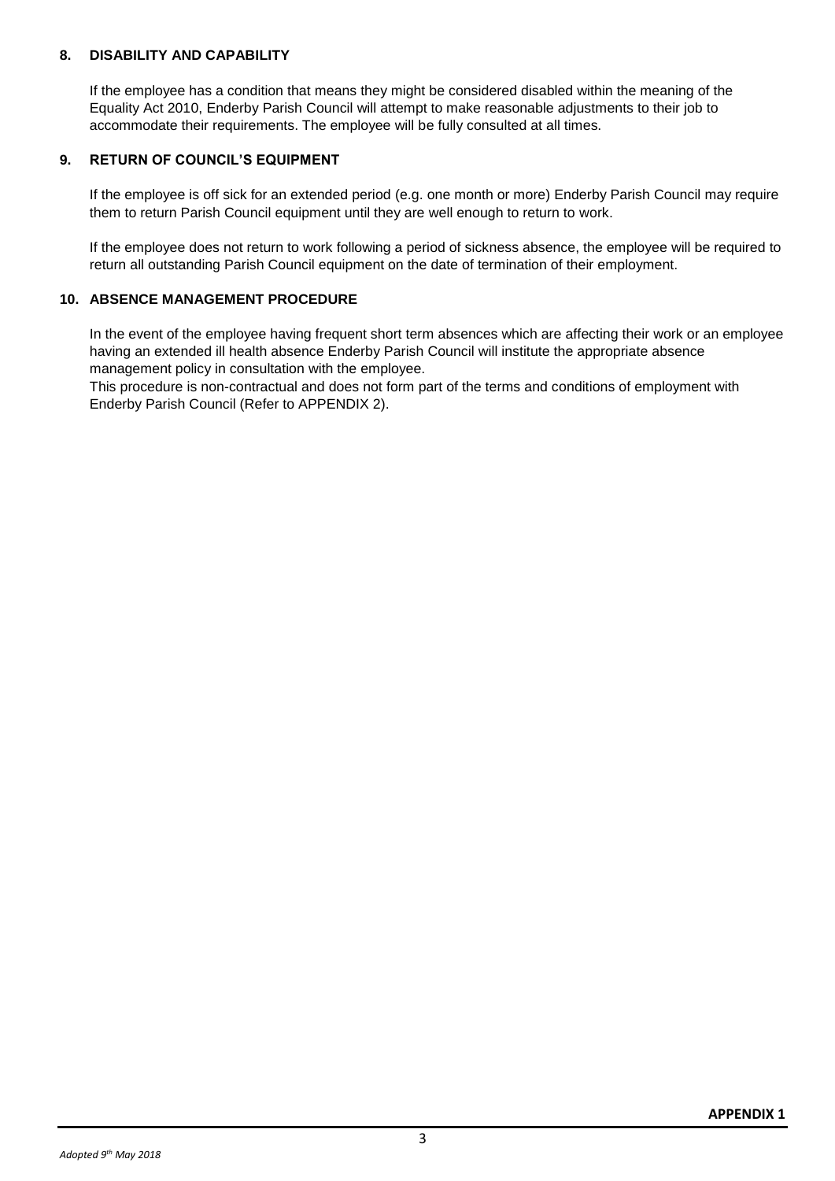### **8. DISABILITY AND CAPABILITY**

If the employee has a condition that means they might be considered disabled within the meaning of the Equality Act 2010, Enderby Parish Council will attempt to make reasonable adjustments to their job to accommodate their requirements. The employee will be fully consulted at all times.

### **9. RETURN OF COUNCIL'S EQUIPMENT**

If the employee is off sick for an extended period (e.g. one month or more) Enderby Parish Council may require them to return Parish Council equipment until they are well enough to return to work.

If the employee does not return to work following a period of sickness absence, the employee will be required to return all outstanding Parish Council equipment on the date of termination of their employment.

### **10. ABSENCE MANAGEMENT PROCEDURE**

In the event of the employee having frequent short term absences which are affecting their work or an employee having an extended ill health absence Enderby Parish Council will institute the appropriate absence management policy in consultation with the employee.

This procedure is non-contractual and does not form part of the terms and conditions of employment with Enderby Parish Council (Refer to APPENDIX 2).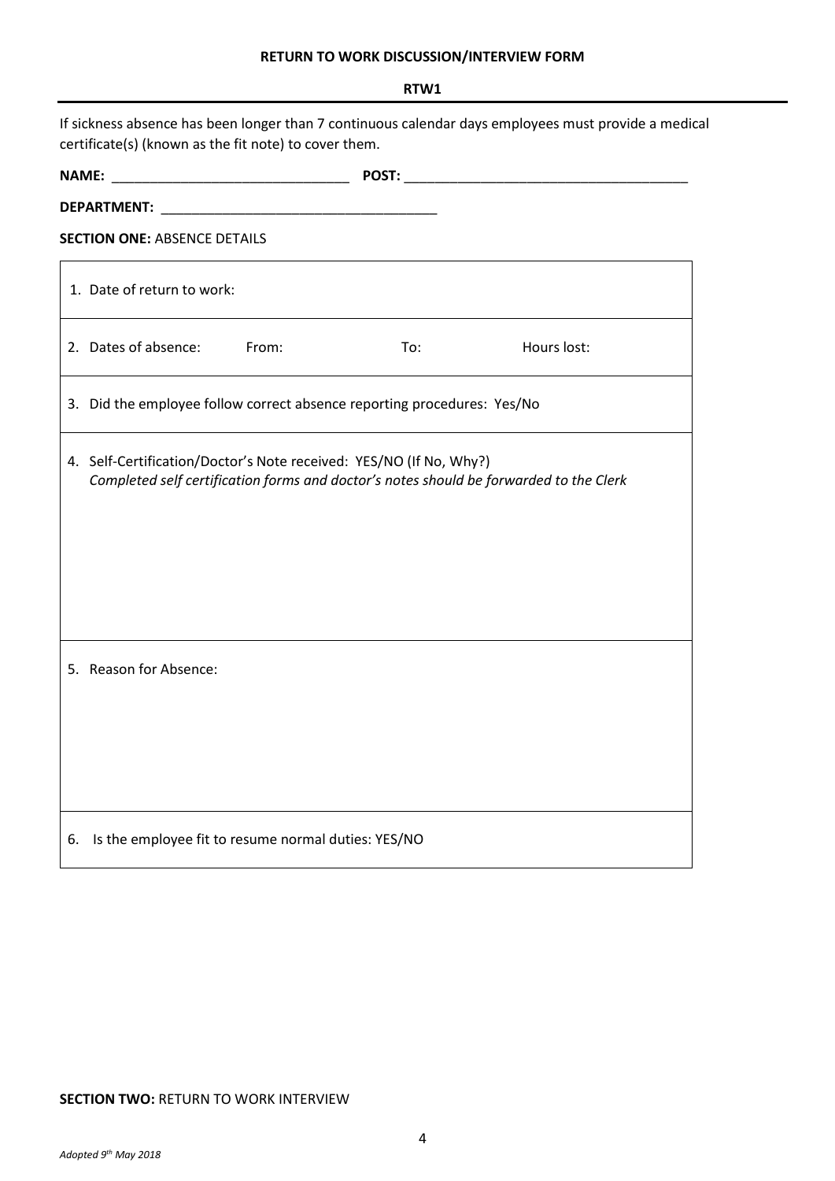# **RETURN TO WORK DISCUSSION/INTERVIEW FORM**

|                                                                                                                                                               | RTW1                                                                                                                                                         |  |
|---------------------------------------------------------------------------------------------------------------------------------------------------------------|--------------------------------------------------------------------------------------------------------------------------------------------------------------|--|
| If sickness absence has been longer than 7 continuous calendar days employees must provide a medical<br>certificate(s) (known as the fit note) to cover them. |                                                                                                                                                              |  |
|                                                                                                                                                               |                                                                                                                                                              |  |
|                                                                                                                                                               |                                                                                                                                                              |  |
|                                                                                                                                                               | <b>SECTION ONE: ABSENCE DETAILS</b>                                                                                                                          |  |
|                                                                                                                                                               | 1. Date of return to work:                                                                                                                                   |  |
|                                                                                                                                                               | 2. Dates of absence: From:<br>Hours lost:<br>To:                                                                                                             |  |
|                                                                                                                                                               | 3. Did the employee follow correct absence reporting procedures: Yes/No                                                                                      |  |
|                                                                                                                                                               | 4. Self-Certification/Doctor's Note received: YES/NO (If No, Why?)<br>Completed self certification forms and doctor's notes should be forwarded to the Clerk |  |
|                                                                                                                                                               | 5. Reason for Absence:                                                                                                                                       |  |
| 6.                                                                                                                                                            | Is the employee fit to resume normal duties: YES/NO                                                                                                          |  |

### **SECTION TWO: RETURN TO WORK INTERVIEW**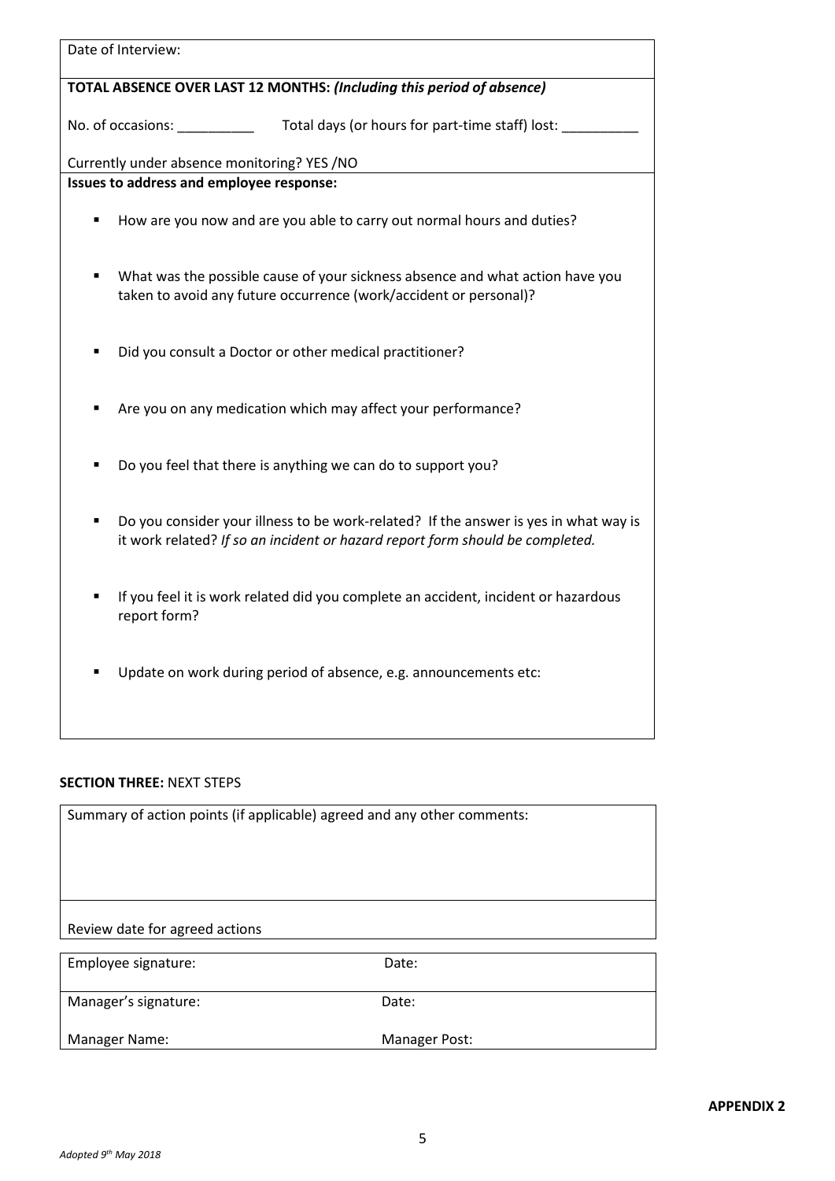| Date of Interview:                                                                                                                                                    |
|-----------------------------------------------------------------------------------------------------------------------------------------------------------------------|
| TOTAL ABSENCE OVER LAST 12 MONTHS: (Including this period of absence)                                                                                                 |
| No. of occasions:<br>Total days (or hours for part-time staff) lost:                                                                                                  |
| Currently under absence monitoring? YES /NO                                                                                                                           |
| Issues to address and employee response:                                                                                                                              |
| How are you now and are you able to carry out normal hours and duties?<br>٠                                                                                           |
| What was the possible cause of your sickness absence and what action have you<br>taken to avoid any future occurrence (work/accident or personal)?                    |
| Did you consult a Doctor or other medical practitioner?                                                                                                               |
| Are you on any medication which may affect your performance?                                                                                                          |
| Do you feel that there is anything we can do to support you?<br>٠                                                                                                     |
| Do you consider your illness to be work-related? If the answer is yes in what way is<br>it work related? If so an incident or hazard report form should be completed. |
| If you feel it is work related did you complete an accident, incident or hazardous<br>report form?                                                                    |
| Update on work during period of absence, e.g. announcements etc:                                                                                                      |
| <b>SECTION THREE: NEXT STEPS</b>                                                                                                                                      |
| Summary of action points (if applicable) agreed and any other comments:                                                                                               |
| Review date for agreed actions                                                                                                                                        |
| Employee signature:<br>Date:                                                                                                                                          |

**APPENDIX 2**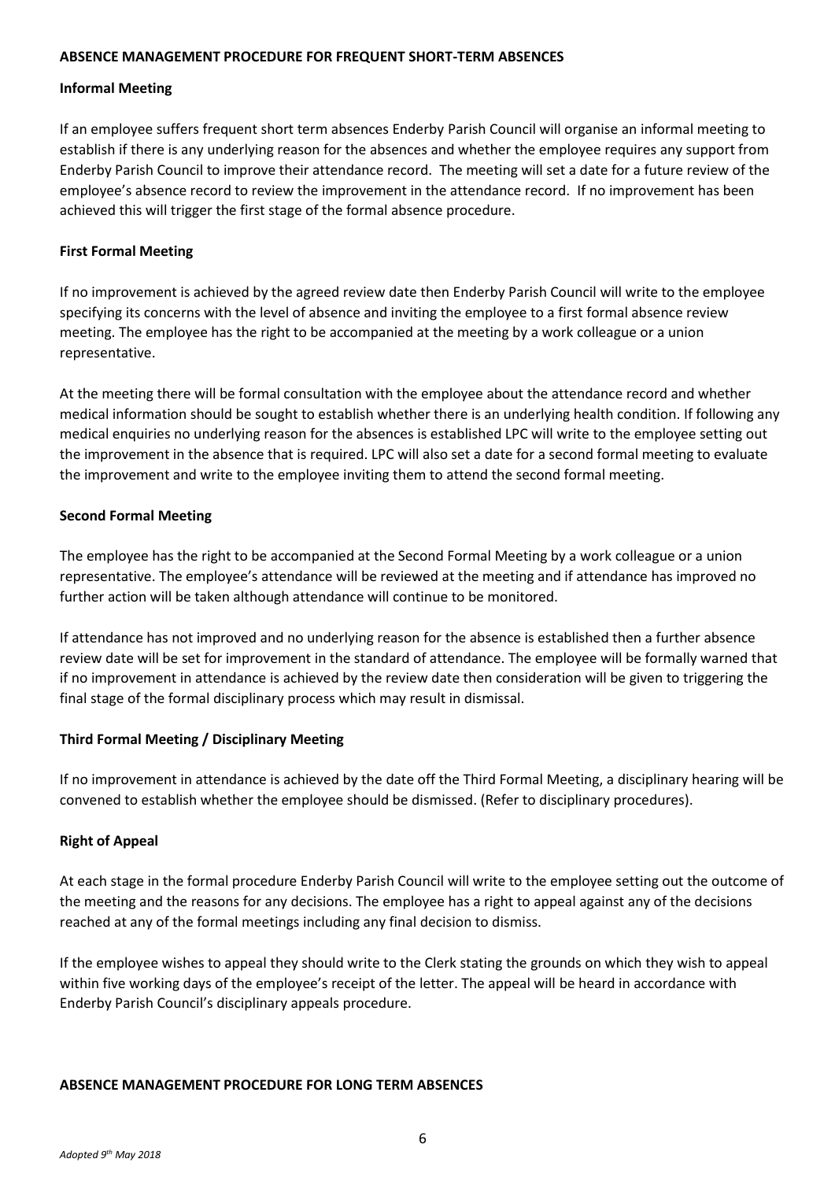### **ABSENCE MANAGEMENT PROCEDURE FOR FREQUENT SHORT-TERM ABSENCES**

### **Informal Meeting**

If an employee suffers frequent short term absences Enderby Parish Council will organise an informal meeting to establish if there is any underlying reason for the absences and whether the employee requires any support from Enderby Parish Council to improve their attendance record. The meeting will set a date for a future review of the employee's absence record to review the improvement in the attendance record. If no improvement has been achieved this will trigger the first stage of the formal absence procedure.

### **First Formal Meeting**

If no improvement is achieved by the agreed review date then Enderby Parish Council will write to the employee specifying its concerns with the level of absence and inviting the employee to a first formal absence review meeting. The employee has the right to be accompanied at the meeting by a work colleague or a union representative.

At the meeting there will be formal consultation with the employee about the attendance record and whether medical information should be sought to establish whether there is an underlying health condition. If following any medical enquiries no underlying reason for the absences is established LPC will write to the employee setting out the improvement in the absence that is required. LPC will also set a date for a second formal meeting to evaluate the improvement and write to the employee inviting them to attend the second formal meeting.

### **Second Formal Meeting**

The employee has the right to be accompanied at the Second Formal Meeting by a work colleague or a union representative. The employee's attendance will be reviewed at the meeting and if attendance has improved no further action will be taken although attendance will continue to be monitored.

If attendance has not improved and no underlying reason for the absence is established then a further absence review date will be set for improvement in the standard of attendance. The employee will be formally warned that if no improvement in attendance is achieved by the review date then consideration will be given to triggering the final stage of the formal disciplinary process which may result in dismissal.

# **Third Formal Meeting / Disciplinary Meeting**

If no improvement in attendance is achieved by the date off the Third Formal Meeting, a disciplinary hearing will be convened to establish whether the employee should be dismissed. (Refer to disciplinary procedures).

### **Right of Appeal**

At each stage in the formal procedure Enderby Parish Council will write to the employee setting out the outcome of the meeting and the reasons for any decisions. The employee has a right to appeal against any of the decisions reached at any of the formal meetings including any final decision to dismiss.

If the employee wishes to appeal they should write to the Clerk stating the grounds on which they wish to appeal within five working days of the employee's receipt of the letter. The appeal will be heard in accordance with Enderby Parish Council's disciplinary appeals procedure.

### **ABSENCE MANAGEMENT PROCEDURE FOR LONG TERM ABSENCES**